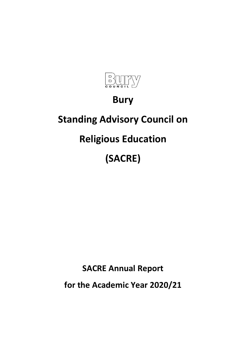

## **Bury**

## **Standing Advisory Council on**

# **Religious Education**

# **(SACRE)**

**SACRE Annual Report**

**for the Academic Year 2020/21**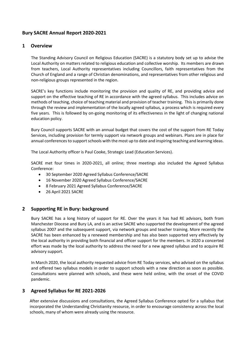## **Bury SACRE Annual Report 2020-2021**

## **1 Overview**

The Standing Advisory Council on Religious Education (SACRE) is a statutory body set up to advise the Local Authority on matters related to religious education and collective worship. Its members are drawn from teachers, Local Authority representatives including Councillors, faith representatives from the Church of England and a range of Christian denominations, and representatives from other religious and non-religious groups represented in the region.

SACRE's key functions include monitoring the provision and quality of RE, and providing advice and support on the effective teaching of RE in accordance with the agreed syllabus. This includes advice on methods of teaching, choice of teaching material and provision of teacher training. This is primarily done through the review and implementation of the locally agreed syllabus, a process which is required every five years. This is followed by on-going monitoring of its effectiveness in the light of changing national education policy.

Bury Council supports SACRE with an annual budget that covers the cost of the support from RE Today Services, including provision for termly support via network groups and webinars. Plans are in place for annual conferences to support schools with the most up to date and inspiring teaching and learning ideas.

The Local Authority officer is Paul Cooke, Strategic Lead (Education Services).

SACRE met four times in 2020-2021, all online; three meetings also included the Agreed Syllabus Conference:

- 30 September 2020 Agreed Syllabus Conference/SACRE
- 16 November 2020 Agreed Syllabus Conference/SACRE
- 8 February 2021 Agreed Syllabus Conference/SACRE
- 26 April 2021 SACRE

### **2 Supporting RE in Bury: background**

Bury SACRE has a long history of support for RE. Over the years it has had RE advisors, both from Manchester Diocese and Bury LA, and is an active SACRE who supported the development of the agreed syllabus 2007 and the subsequent support, via network groups and teacher training. More recently the SACRE has been enhanced by a renewed membership and has also been supported very effectively by the local authority in providing both financial and officer support for the members. In 2020 a concerted effort was made by the local authority to address the need for a new agreed syllabus and to acquire RE advisory support.

In March 2020, the local authority requested advice from RE Today services, who advised on the syllabus and offered two syllabus models in order to support schools with a new direction as soon as possible. Consultations were planned with schools, and these were held online, with the onset of the COVID pandemic.

## **3 Agreed Syllabus for RE 2021-2026**

After extensive discussions and consultations, the Agreed Syllabus Conference opted for a syllabus that incorporated the Understanding Christianity resource, in order to encourage consistency across the local schools, many of whom were already using the resource.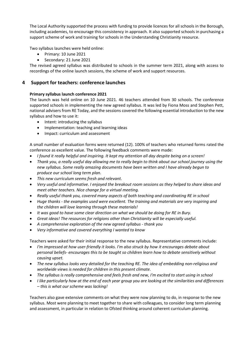The Local Authority supported the process with funding to provide licences for all schools in the Borough, including academies, to encourage this consistency in approach. It also supported schools in purchasing a support scheme of work and training for schools in the Understanding Christianity resource.

Two syllabus launches were held online:

- Primary: 10 June 2021
- Secondary: 21 June 2021

The revised agreed syllabus was distributed to schools in the summer term 2021, along with access to recordings of the online launch sessions, the scheme of work and support resources.

## **4 Support for teachers: conference launches**

#### **Primary syllabus launch conference 2021**

The launch was held online on 10 June 2021. 46 teachers attended from 30 schools. The conference supported schools in implementing the new agreed syllabus. It was led by Fiona Moss and Stephen Pett, national advisers from RE Today, and the sessions covered the following essential introduction to the new syllabus and how to use it:

- Intent: introducing the syllabus
- Implementation: teaching and learning ideas
- Impact: curriculum and assessment

A small number of evaluation forms were returned (12). 100% of teachers who returned forms rated the conference as excellent value. The following feedback comments were made:

- *I found it really helpful and inspiring. It kept my attention all day despite being on a screen!*
- *Thank you, a really useful day allowing me to really begin to think about our school journey using the new syllabus. Some really amazing documents have been written and I have already begun to produce our school long term plan.*
- *This new curriculum seems fresh and relevant.*
- *Very useful and informative. I enjoyed the breakout room sessions as they helped to share ideas and meet other teachers. Nice change for a virtual meeting.*
- *Really useful thank you, covered many aspects of both teaching and coordinating RE in school*
- *Huge thanks - the examples used were excellent. The training and materials are very inspiring and the children will love learning through these materials!*
- *It was good to have some clear direction on what we should be doing for RE in Bury.*
- *Great ideas! The resources for religions other than Christianity will be especially useful.*
- *A comprehensive exploration of the new agreed syllabus - thank you*
- *Very informative and covered everything I wanted to know*

Teachers were asked for their initial response to the new syllabus. Representative comments include:

- *I'm impressed at how user-friendly it looks. I'm also struck by how it encourages debate about personal beliefs- encourages this to be taught so children learn how to debate sensitively without causing upset.*
- *The new syllabus looks very detailed for the teaching RE. The idea of embedding non-religious and worldwide views is needed for children in this present climate.*
- *The syllabus is really comprehensive and feels fresh and new, I'm excited to start using in school*
- *I like particularly how at the end of each year group you are looking at the similarities and differences – this is what our scheme was lacking!*

Teachers also gave extensive comments on what they were now planning to do, in response to the new syllabus. Most were planning to meet together to share with colleagues, to consider long term planning and assessment, in particular in relation to Ofsted thinking around coherent curriculum planning.